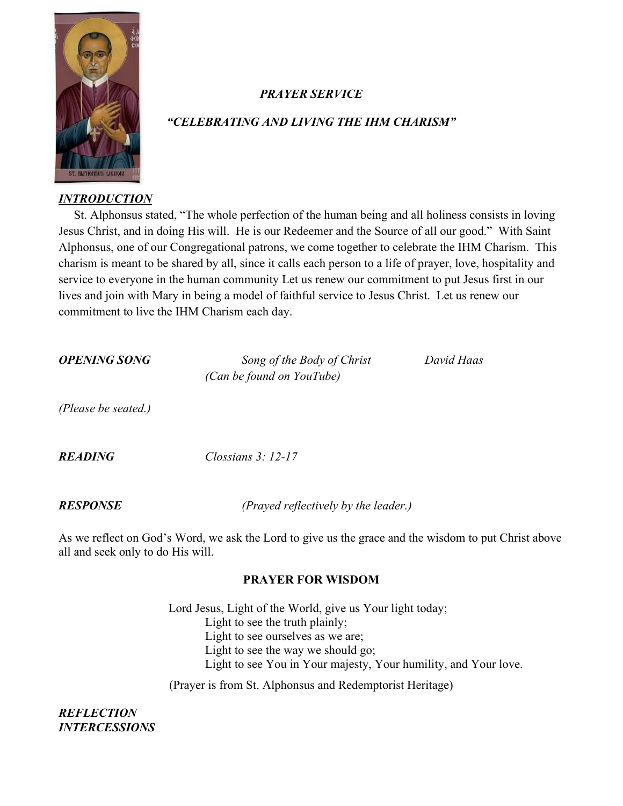

# *PRAYER SERVICE*

# *"CELEBRATING AND LIVING THE IHM CHARISM"*

#### *INTRODUCTION*

 St. Alphonsus stated, "The whole perfection of the human being and all holiness consists in loving Jesus Christ, and in doing His will. He is our Redeemer and the Source of all our good." With Saint Alphonsus, one of our Congregational patrons, we come together to celebrate the IHM Charism. This charism is meant to be shared by all, since it calls each person to a life of prayer, love, hospitality and service to everyone in the human community Let us renew our commitment to put Jesus first in our lives and join with Mary in being a model of faithful service to Jesus Christ. Let us renew our commitment to live the IHM Charism each day.

*OPENING SONG Song of the Body of Christ David Haas (Can be found on YouTube)*

*(Please be seated.)*

*READING Clossians 3: 12-17*

*RESPONSE (Prayed reflectively by the leader.)*

As we reflect on God's Word, we ask the Lord to give us the grace and the wisdom to put Christ above all and seek only to do His will.

## **PRAYER FOR WISDOM**

Lord Jesus, Light of the World, give us Your light today; Light to see the truth plainly; Light to see ourselves as we are; Light to see the way we should go; Light to see You in Your majesty, Your humility, and Your love.

(Prayer is from St. Alphonsus and Redemptorist Heritage)

## *REFLECTION INTERCESSIONS*